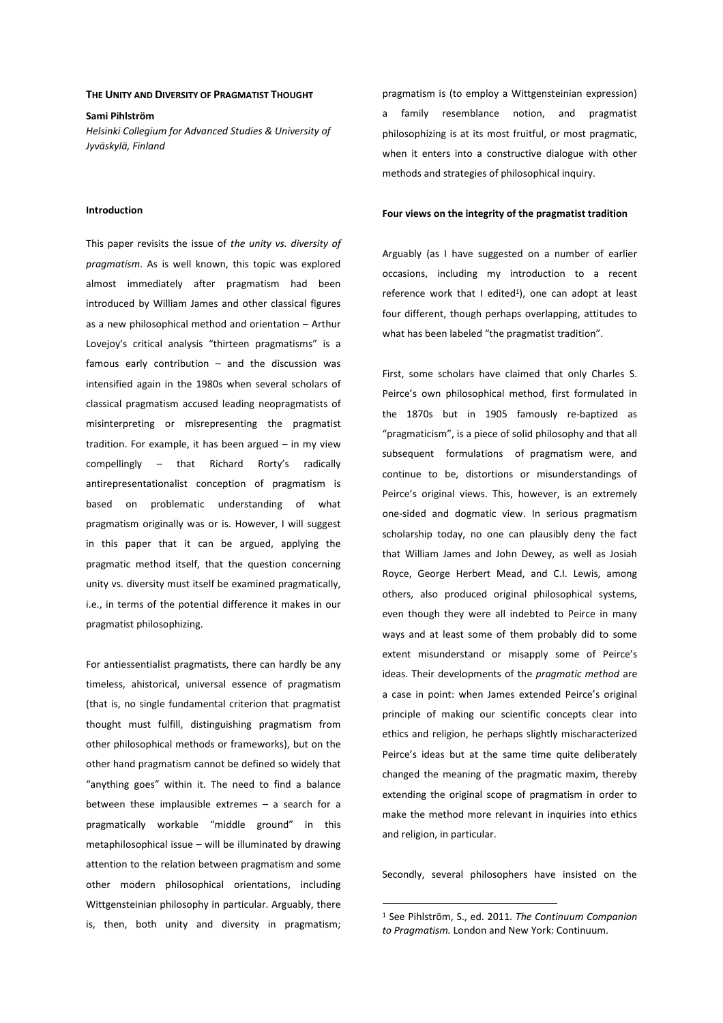#### **THE UNITY AND DIVERSITY OF PRAGMATIST THOUGHT**

**Sami Pihlström**  *Helsinki Collegium for Advanced Studies & University of Jyväskylä, Finland* 

### **Introduction**

This paper revisits the issue of *the unity vs. diversity of pragmatism*. As is well known, this topic was explored almost immediately after pragmatism had been introduced by William James and other classical figures as a new philosophical method and orientation – Arthur Lovejoy's critical analysis "thirteen pragmatisms" is a famous early contribution – and the discussion was intensified again in the 1980s when several scholars of classical pragmatism accused leading neopragmatists of misinterpreting or misrepresenting the pragmatist tradition. For example, it has been argued – in my view compellingly – that Richard Rorty's radically antirepresentationalist conception of pragmatism is based on problematic understanding of what pragmatism originally was or is. However, I will suggest in this paper that it can be argued, applying the pragmatic method itself, that the question concerning unity vs. diversity must itself be examined pragmatically, i.e., in terms of the potential difference it makes in our pragmatist philosophizing.

For antiessentialist pragmatists, there can hardly be any timeless, ahistorical, universal essence of pragmatism (that is, no single fundamental criterion that pragmatist thought must fulfill, distinguishing pragmatism from other philosophical methods or frameworks), but on the other hand pragmatism cannot be defined so widely that "anything goes" within it. The need to find a balance between these implausible extremes – a search for a pragmatically workable "middle ground" in this metaphilosophical issue – will be illuminated by drawing attention to the relation between pragmatism and some other modern philosophical orientations, including Wittgensteinian philosophy in particular. Arguably, there is, then, both unity and diversity in pragmatism;

pragmatism is (to employ a Wittgensteinian expression) a family resemblance notion, and pragmatist philosophizing is at its most fruitful, or most pragmatic, when it enters into a constructive dialogue with other methods and strategies of philosophical inquiry.

### **Four views on the integrity of the pragmatist tradition**

Arguably (as I have suggested on a number of earlier occasions, including my introduction to a recent reference work that I edited $1$ ), one can adopt at least four different, though perhaps overlapping, attitudes to what has been labeled "the pragmatist tradition".

First, some scholars have claimed that only Charles S. Peirce's own philosophical method, first formulated in the 1870s but in 1905 famously re-baptized as "pragmaticism", is a piece of solid philosophy and that all subsequent formulations of pragmatism were, and continue to be, distortions or misunderstandings of Peirce's original views. This, however, is an extremely one-sided and dogmatic view. In serious pragmatism scholarship today, no one can plausibly deny the fact that William James and John Dewey, as well as Josiah Royce, George Herbert Mead, and C.I. Lewis, among others, also produced original philosophical systems, even though they were all indebted to Peirce in many ways and at least some of them probably did to some extent misunderstand or misapply some of Peirce's ideas. Their developments of the *pragmatic method* are a case in point: when James extended Peirce's original principle of making our scientific concepts clear into ethics and religion, he perhaps slightly mischaracterized Peirce's ideas but at the same time quite deliberately changed the meaning of the pragmatic maxim, thereby extending the original scope of pragmatism in order to make the method more relevant in inquiries into ethics and religion, in particular.

Secondly, several philosophers have insisted on the

<sup>1</sup> See Pihlström, S., ed. 2011. *The Continuum Companion to Pragmatism.* London and New York: Continuum.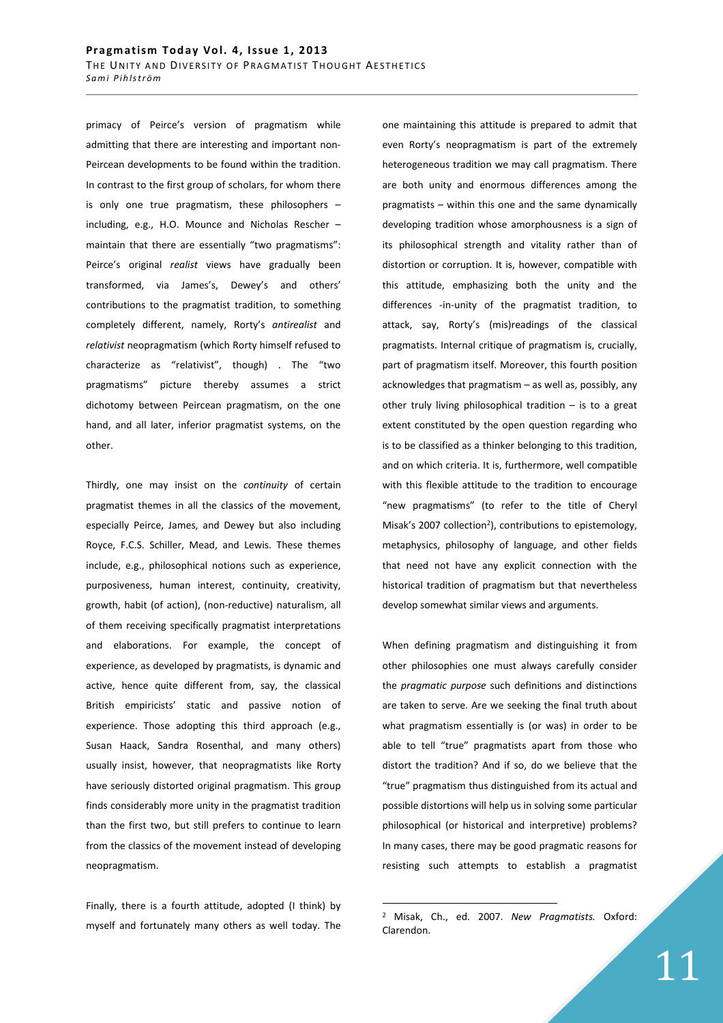primacy of Peirce's version of pragmatism while admitting that there are interesting and important non-Peircean developments to be found within the tradition. In contrast to the first group of scholars, for whom there is only one true pragmatism, these philosophers – including, e.g., H.O. Mounce and Nicholas Rescher – maintain that there are essentially "two pragmatisms": Peirce's original *realist* views have gradually been transformed, via James's, Dewey's and others' contributions to the pragmatist tradition, to something completely different, namely, Rorty's *antirealist* and *relativist* neopragmatism (which Rorty himself refused to characterize as "relativist", though) . The "two pragmatisms" picture thereby assumes a strict dichotomy between Peircean pragmatism, on the one hand, and all later, inferior pragmatist systems, on the other.

Thirdly, one may insist on the *continuity* of certain pragmatist themes in all the classics of the movement, especially Peirce, James, and Dewey but also including Royce, F.C.S. Schiller, Mead, and Lewis. These themes include, e.g., philosophical notions such as experience, purposiveness, human interest, continuity, creativity, growth, habit (of action), (non-reductive) naturalism, all of them receiving specifically pragmatist interpretations and elaborations. For example, the concept of experience, as developed by pragmatists, is dynamic and active, hence quite different from, say, the classical British empiricists' static and passive notion of experience. Those adopting this third approach (e.g., Susan Haack, Sandra Rosenthal, and many others) usually insist, however, that neopragmatists like Rorty have seriously distorted original pragmatism. This group finds considerably more unity in the pragmatist tradition than the first two, but still prefers to continue to learn from the classics of the movement instead of developing neopragmatism.

Finally, there is a fourth attitude, adopted (I think) by myself and fortunately many others as well today. The one maintaining this attitude is prepared to admit that even Rorty's neopragmatism is part of the extremely heterogeneous tradition we may call pragmatism. There are both unity and enormous differences among the pragmatists – within this one and the same dynamically developing tradition whose amorphousness is a sign of its philosophical strength and vitality rather than of distortion or corruption. It is, however, compatible with this attitude, emphasizing both the unity and the differences -in-unity of the pragmatist tradition, to attack, say, Rorty's (mis)readings of the classical pragmatists. Internal critique of pragmatism is, crucially, part of pragmatism itself. Moreover, this fourth position acknowledges that pragmatism – as well as, possibly, any other truly living philosophical tradition – is to a great extent constituted by the open question regarding who is to be classified as a thinker belonging to this tradition, and on which criteria. It is, furthermore, well compatible with this flexible attitude to the tradition to encourage "new pragmatisms" (to refer to the title of Cheryl Misak's 2007 collection<sup>2</sup>), contributions to epistemology, metaphysics, philosophy of language, and other fields that need not have any explicit connection with the historical tradition of pragmatism but that nevertheless develop somewhat similar views and arguments.

When defining pragmatism and distinguishing it from other philosophies one must always carefully consider the *pragmatic purpose* such definitions and distinctions are taken to serve. Are we seeking the final truth about what pragmatism essentially is (or was) in order to be able to tell "true" pragmatists apart from those who distort the tradition? And if so, do we believe that the "true" pragmatism thus distinguished from its actual and possible distortions will help us in solving some particular philosophical (or historical and interpretive) problems? In many cases, there may be good pragmatic reasons for resisting such attempts to establish a pragmatist

<sup>2</sup> Misak, Ch., ed. 2007. *New Pragmatists.* Oxford: Clarendon.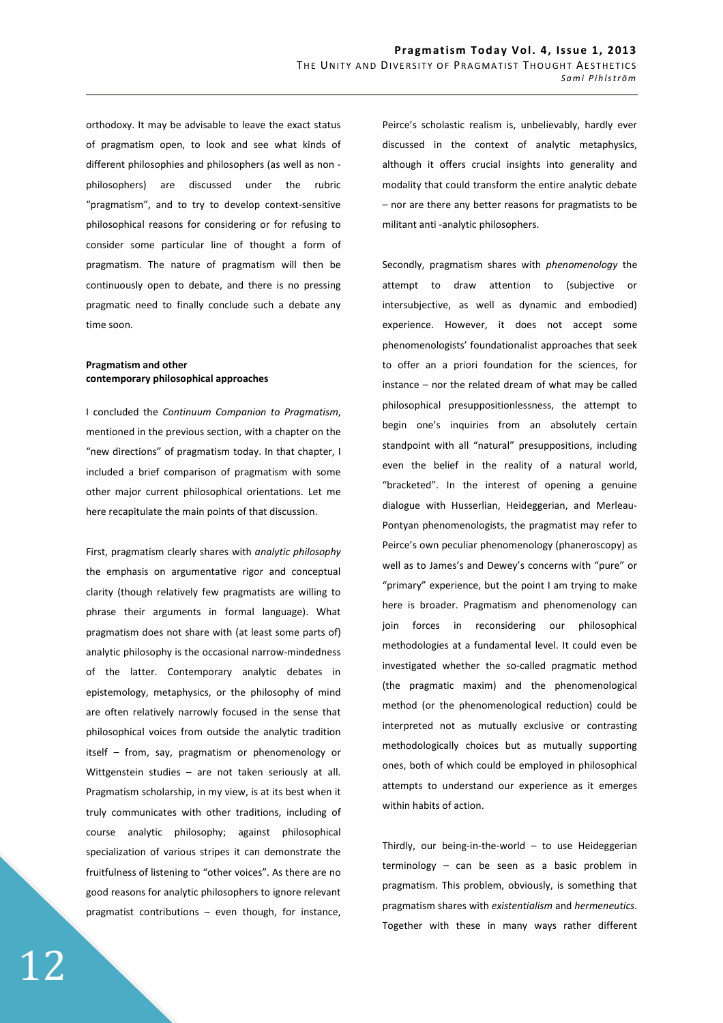orthodoxy. It may be advisable to leave the exact status of pragmatism open, to look and see what kinds of different philosophies and philosophers (as well as non philosophers) are discussed under the rubric "pragmatism", and to try to develop context-sensitive philosophical reasons for considering or for refusing to consider some particular line of thought a form of pragmatism. The nature of pragmatism will then be continuously open to debate, and there is no pressing pragmatic need to finally conclude such a debate any time soon.

# **Pragmatism and other contemporary philosophical approaches**

I concluded the *Continuum Companion to Pragmatism*, mentioned in the previous section, with a chapter on the "new directions" of pragmatism today. In that chapter, I included a brief comparison of pragmatism with some other major current philosophical orientations. Let me here recapitulate the main points of that discussion.

First, pragmatism clearly shares with *analytic philosophy*  the emphasis on argumentative rigor and conceptual clarity (though relatively few pragmatists are willing to phrase their arguments in formal language). What pragmatism does not share with (at least some parts of) analytic philosophy is the occasional narrow-mindedness of the latter. Contemporary analytic debates in epistemology, metaphysics, or the philosophy of mind are often relatively narrowly focused in the sense that philosophical voices from outside the analytic tradition itself – from, say, pragmatism or phenomenology or Wittgenstein studies – are not taken seriously at all. Pragmatism scholarship, in my view, is at its best when it truly communicates with other traditions, including of course analytic philosophy; against philosophical specialization of various stripes it can demonstrate the fruitfulness of listening to "other voices". As there are no good reasons for analytic philosophers to ignore relevant pragmatist contributions – even though, for instance, Peirce's scholastic realism is, unbelievably, hardly ever discussed in the context of analytic metaphysics, although it offers crucial insights into generality and modality that could transform the entire analytic debate – nor are there any better reasons for pragmatists to be militant anti -analytic philosophers.

Secondly, pragmatism shares with *phenomenology* the attempt to draw attention to (subjective or intersubjective, as well as dynamic and embodied) experience. However, it does not accept some phenomenologists' foundationalist approaches that seek to offer an a priori foundation for the sciences, for instance – nor the related dream of what may be called philosophical presuppositionlessness, the attempt to begin one's inquiries from an absolutely certain standpoint with all "natural" presuppositions, including even the belief in the reality of a natural world, "bracketed". In the interest of opening a genuine dialogue with Husserlian, Heideggerian, and Merleau-Pontyan phenomenologists, the pragmatist may refer to Peirce's own peculiar phenomenology (phaneroscopy) as well as to James's and Dewey's concerns with "pure" or "primary" experience, but the point I am trying to make here is broader. Pragmatism and phenomenology can join forces in reconsidering our philosophical methodologies at a fundamental level. It could even be investigated whether the so-called pragmatic method (the pragmatic maxim) and the phenomenological method (or the phenomenological reduction) could be interpreted not as mutually exclusive or contrasting methodologically choices but as mutually supporting ones, both of which could be employed in philosophical attempts to understand our experience as it emerges within habits of action.

Thirdly, our being-in-the-world – to use Heideggerian terminology – can be seen as a basic problem in pragmatism. This problem, obviously, is something that pragmatism shares with *existentialism* and *hermeneutics*. Together with these in many ways rather different

12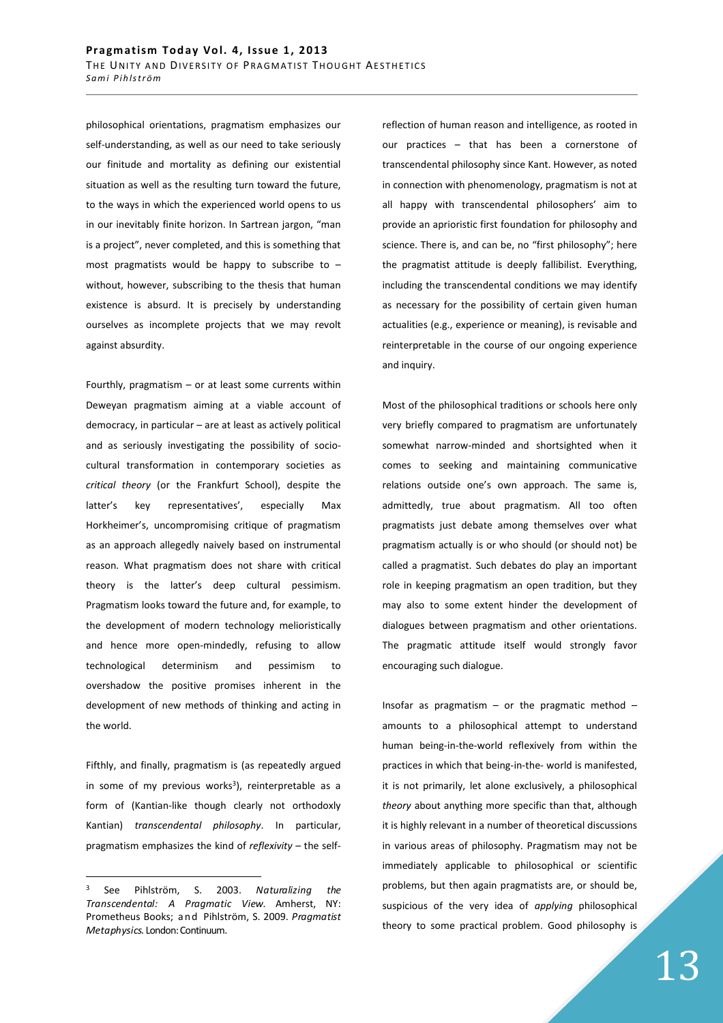philosophical orientations, pragmatism emphasizes our self-understanding, as well as our need to take seriously our finitude and mortality as defining our existential situation as well as the resulting turn toward the future, to the ways in which the experienced world opens to us in our inevitably finite horizon. In Sartrean jargon, "man is a project", never completed, and this is something that most pragmatists would be happy to subscribe to  $$ without, however, subscribing to the thesis that human existence is absurd. It is precisely by understanding ourselves as incomplete projects that we may revolt against absurdity.

Fourthly, pragmatism  $-$  or at least some currents within Deweyan pragmatism aiming at a viable account of democracy, in particular – are at least as actively political and as seriously investigating the possibility of sociocultural transformation in contemporary societies as *critical theory* (or the Frankfurt School), despite the latter's key representatives', especially Max Horkheimer's, uncompromising critique of pragmatism as an approach allegedly naively based on instrumental reason. What pragmatism does not share with critical theory is the latter's deep cultural pessimism. Pragmatism looks toward the future and, for example, to the development of modern technology melioristically and hence more open-mindedly, refusing to allow technological determinism and pessimism to overshadow the positive promises inherent in the development of new methods of thinking and acting in the world.

Fifthly, and finally, pragmatism is (as repeatedly argued in some of my previous works<sup>3</sup>), reinterpretable as a form of (Kantian-like though clearly not orthodoxly Kantian) *transcendental philosophy*. In particular, pragmatism emphasizes the kind of *reflexivity* – the self-

3 See Pihlström, S. 2003. *Naturalizing the Transcendental: A Pragmatic View.* Amherst, NY: Prometheus Books; a n d Pihlström, S. 2009. *Pragmatist Metaphysics.* London: Continuum.

 $\overline{a}$ 

reflection of human reason and intelligence, as rooted in our practices – that has been a cornerstone of transcendental philosophy since Kant. However, as noted in connection with phenomenology, pragmatism is not at all happy with transcendental philosophers' aim to provide an aprioristic first foundation for philosophy and science. There is, and can be, no "first philosophy"; here the pragmatist attitude is deeply fallibilist. Everything, including the transcendental conditions we may identify as necessary for the possibility of certain given human actualities (e.g., experience or meaning), is revisable and reinterpretable in the course of our ongoing experience and inquiry.

Most of the philosophical traditions or schools here only very briefly compared to pragmatism are unfortunately somewhat narrow-minded and shortsighted when it comes to seeking and maintaining communicative relations outside one's own approach. The same is, admittedly, true about pragmatism. All too often pragmatists just debate among themselves over what pragmatism actually is or who should (or should not) be called a pragmatist. Such debates do play an important role in keeping pragmatism an open tradition, but they may also to some extent hinder the development of dialogues between pragmatism and other orientations. The pragmatic attitude itself would strongly favor encouraging such dialogue.

Insofar as pragmatism  $-$  or the pragmatic method  $$ amounts to a philosophical attempt to understand human being-in-the-world reflexively from within the practices in which that being-in-the- world is manifested, it is not primarily, let alone exclusively, a philosophical *theory* about anything more specific than that, although it is highly relevant in a number of theoretical discussions in various areas of philosophy. Pragmatism may not be immediately applicable to philosophical or scientific problems, but then again pragmatists are, or should be, suspicious of the very idea of *applying* philosophical theory to some practical problem. Good philosophy is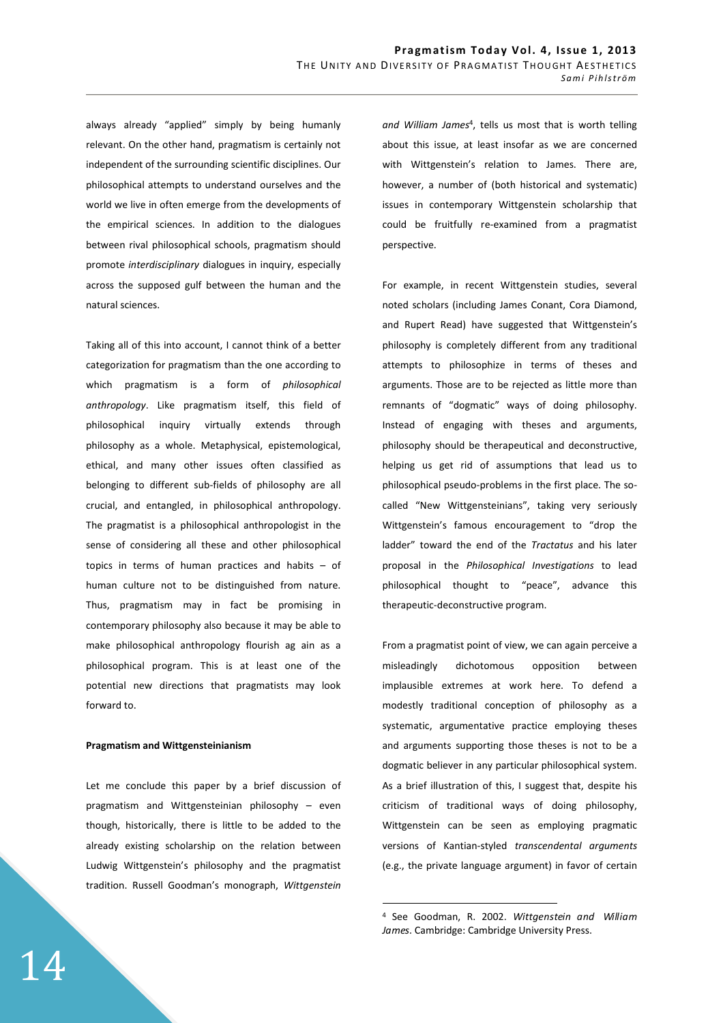always already "applied" simply by being humanly relevant. On the other hand, pragmatism is certainly not independent of the surrounding scientific disciplines. Our philosophical attempts to understand ourselves and the world we live in often emerge from the developments of the empirical sciences. In addition to the dialogues between rival philosophical schools, pragmatism should promote *interdisciplinary* dialogues in inquiry, especially across the supposed gulf between the human and the natural sciences.

Taking all of this into account, I cannot think of a better categorization for pragmatism than the one according to which pragmatism is a form of *philosophical anthropology*. Like pragmatism itself, this field of philosophical inquiry virtually extends through philosophy as a whole. Metaphysical, epistemological, ethical, and many other issues often classified as belonging to different sub-fields of philosophy are all crucial, and entangled, in philosophical anthropology. The pragmatist is a philosophical anthropologist in the sense of considering all these and other philosophical topics in terms of human practices and habits – of human culture not to be distinguished from nature. Thus, pragmatism may in fact be promising in contemporary philosophy also because it may be able to make philosophical anthropology flourish ag ain as a philosophical program. This is at least one of the potential new directions that pragmatists may look forward to.

### **Pragmatism and Wittgensteinianism**

Let me conclude this paper by a brief discussion of pragmatism and Wittgensteinian philosophy – even though, historically, there is little to be added to the already existing scholarship on the relation between Ludwig Wittgenstein's philosophy and the pragmatist tradition. Russell Goodman's monograph, *Wittgenstein* 

and William James<sup>4</sup>, tells us most that is worth telling about this issue, at least insofar as we are concerned with Wittgenstein's relation to James. There are, however, a number of (both historical and systematic) issues in contemporary Wittgenstein scholarship that could be fruitfully re-examined from a pragmatist perspective.

For example, in recent Wittgenstein studies, several noted scholars (including James Conant, Cora Diamond, and Rupert Read) have suggested that Wittgenstein's philosophy is completely different from any traditional attempts to philosophize in terms of theses and arguments. Those are to be rejected as little more than remnants of "dogmatic" ways of doing philosophy. Instead of engaging with theses and arguments, philosophy should be therapeutical and deconstructive, helping us get rid of assumptions that lead us to philosophical pseudo-problems in the first place. The socalled "New Wittgensteinians", taking very seriously Wittgenstein's famous encouragement to "drop the ladder" toward the end of the *Tractatus* and his later proposal in the *Philosophical Investigations* to lead philosophical thought to "peace", advance this therapeutic-deconstructive program.

From a pragmatist point of view, we can again perceive a misleadingly dichotomous opposition between implausible extremes at work here. To defend a modestly traditional conception of philosophy as a systematic, argumentative practice employing theses and arguments supporting those theses is not to be a dogmatic believer in any particular philosophical system. As a brief illustration of this, I suggest that, despite his criticism of traditional ways of doing philosophy, Wittgenstein can be seen as employing pragmatic versions of Kantian-styled *transcendental arguments*  (e.g., the private language argument) in favor of certain

<sup>4</sup> See Goodman, R. 2002. *Wittgenstein and William James*. Cambridge: Cambridge University Press.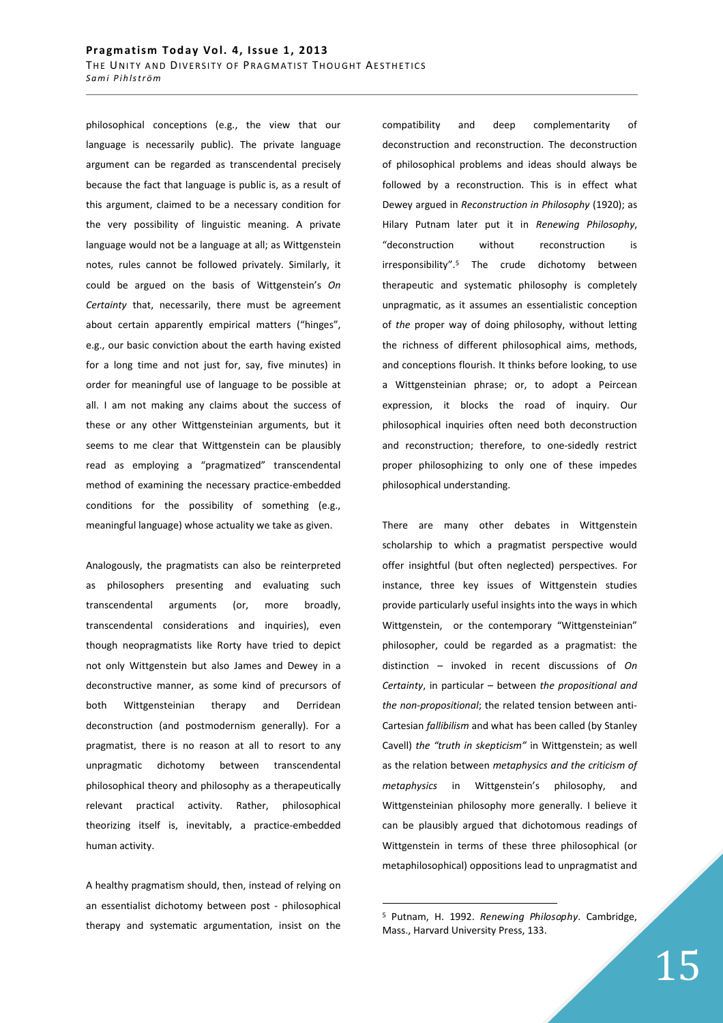philosophical conceptions (e.g., the view that our language is necessarily public). The private language argument can be regarded as transcendental precisely because the fact that language is public is, as a result of this argument, claimed to be a necessary condition for the very possibility of linguistic meaning. A private language would not be a language at all; as Wittgenstein notes, rules cannot be followed privately. Similarly, it could be argued on the basis of Wittgenstein's *On Certainty* that, necessarily, there must be agreement about certain apparently empirical matters ("hinges", e.g., our basic conviction about the earth having existed for a long time and not just for, say, five minutes) in order for meaningful use of language to be possible at all. I am not making any claims about the success of these or any other Wittgensteinian arguments, but it seems to me clear that Wittgenstein can be plausibly read as employing a "pragmatized" transcendental method of examining the necessary practice-embedded conditions for the possibility of something (e.g., meaningful language) whose actuality we take as given.

Analogously, the pragmatists can also be reinterpreted as philosophers presenting and evaluating such transcendental arguments (or, more broadly, transcendental considerations and inquiries), even though neopragmatists like Rorty have tried to depict not only Wittgenstein but also James and Dewey in a deconstructive manner, as some kind of precursors of both Wittgensteinian therapy and Derridean deconstruction (and postmodernism generally). For a pragmatist, there is no reason at all to resort to any unpragmatic dichotomy between transcendental philosophical theory and philosophy as a therapeutically relevant practical activity. Rather, philosophical theorizing itself is, inevitably, a practice-embedded human activity.

A healthy pragmatism should, then, instead of relying on an essentialist dichotomy between post - philosophical therapy and systematic argumentation, insist on the compatibility and deep complementarity of deconstruction and reconstruction. The deconstruction of philosophical problems and ideas should always be followed by a reconstruction. This is in effect what Dewey argued in *Reconstruction in Philosophy* (1920); as Hilary Putnam later put it in *Renewing Philosophy*, "deconstruction without reconstruction is irresponsibility".<sup>5</sup> The crude dichotomy between therapeutic and systematic philosophy is completely unpragmatic, as it assumes an essentialistic conception of *the* proper way of doing philosophy, without letting the richness of different philosophical aims, methods, and conceptions flourish. It thinks before looking, to use a Wittgensteinian phrase; or, to adopt a Peircean expression, it blocks the road of inquiry. Our philosophical inquiries often need both deconstruction and reconstruction; therefore, to one-sidedly restrict proper philosophizing to only one of these impedes philosophical understanding.

There are many other debates in Wittgenstein scholarship to which a pragmatist perspective would offer insightful (but often neglected) perspectives. For instance, three key issues of Wittgenstein studies provide particularly useful insights into the ways in which Wittgenstein, or the contemporary "Wittgensteinian" philosopher, could be regarded as a pragmatist: the distinction – invoked in recent discussions of *On Certainty*, in particular – between *the propositional and the non-propositional*; the related tension between anti-Cartesian *fallibilism* and what has been called (by Stanley Cavell) *the "truth in skepticism"* in Wittgenstein; as well as the relation between *metaphysics and the criticism of metaphysics* in Wittgenstein's philosophy, and Wittgensteinian philosophy more generally. I believe it can be plausibly argued that dichotomous readings of Wittgenstein in terms of these three philosophical (or metaphilosophical) oppositions lead to unpragmatist and

<sup>5</sup> Putnam, H. 1992. *Renewing Philosophy*. Cambridge, Mass., Harvard University Press, 133.